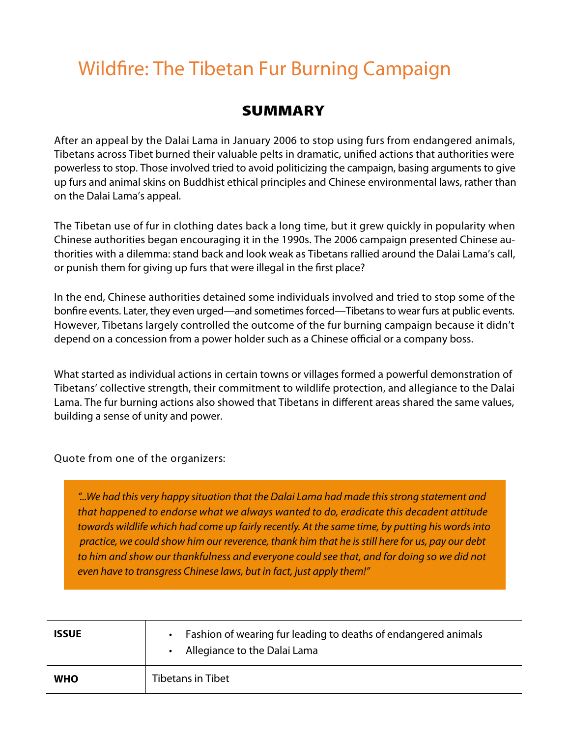## Wildfire: The Tibetan Fur Burning Campaign

## **SUMMARY**

After an appeal by the Dalai Lama in January 2006 to stop using furs from endangered animals, Tibetans across Tibet burned their valuable pelts in dramatic, unified actions that authorities were powerless to stop. Those involved tried to avoid politicizing the campaign, basing arguments to give up furs and animal skins on Buddhist ethical principles and Chinese environmental laws, rather than on the Dalai Lama's appeal.

The Tibetan use of fur in clothing dates back a long time, but it grew quickly in popularity when Chinese authorities began encouraging it in the 1990s. The 2006 campaign presented Chinese authorities with a dilemma: stand back and look weak as Tibetans rallied around the Dalai Lama's call, or punish them for giving up furs that were illegal in the first place?

In the end, Chinese authorities detained some individuals involved and tried to stop some of the bonfire events. Later, they even urged—and sometimes forced—Tibetans to wear furs at public events. However, Tibetans largely controlled the outcome of the fur burning campaign because it didn't depend on a concession from a power holder such as a Chinese official or a company boss.

What started as individual actions in certain towns or villages formed a powerful demonstration of Tibetans' collective strength, their commitment to wildlife protection, and allegiance to the Dalai Lama. The fur burning actions also showed that Tibetans in different areas shared the same values, building a sense of unity and power.

Quote from one of the organizers:

*that happened to endorse what we always wanted to do, eradicate this decadent attitude* towards wildlife which had come up fairly recently. At the same time, by putting his words into *this decadent attitude towards wildlife which had come up fairly recently. At the* practice, we could show him our reverence, thank him that he is still here for us, pay our debt to him and show our thankfulness and everyone could see that, and for doing so we did not *thankfulness and could see that, and so we did not even have even have to transgress Chinese laws, but in fact, just apply them!""...We had this very happy situation that the Dalai Lama had made this strong statement and* 

| <b>ISSUE</b> | • Fashion of wearing fur leading to deaths of endangered animals<br>Allegiance to the Dalai Lama |
|--------------|--------------------------------------------------------------------------------------------------|
| <b>WHO</b>   | <b>Tibetans in Tibet</b>                                                                         |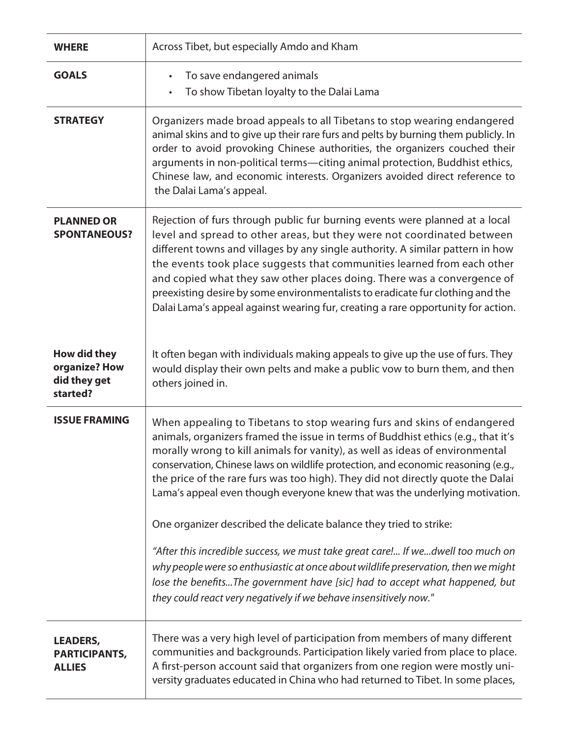| <b>WHERE</b>                                              | Across Tibet, but especially Amdo and Kham                                                                                                                                                                                                                                                                                                                                                                                                                                                                                                                          |
|-----------------------------------------------------------|---------------------------------------------------------------------------------------------------------------------------------------------------------------------------------------------------------------------------------------------------------------------------------------------------------------------------------------------------------------------------------------------------------------------------------------------------------------------------------------------------------------------------------------------------------------------|
| <b>GOALS</b>                                              | To save endangered animals<br>$\bullet$<br>To show Tibetan loyalty to the Dalai Lama                                                                                                                                                                                                                                                                                                                                                                                                                                                                                |
| <b>STRATEGY</b>                                           | Organizers made broad appeals to all Tibetans to stop wearing endangered<br>animal skins and to give up their rare furs and pelts by burning them publicly. In<br>order to avoid provoking Chinese authorities, the organizers couched their<br>arguments in non-political terms-citing animal protection, Buddhist ethics,<br>Chinese law, and economic interests. Organizers avoided direct reference to<br>the Dalai Lama's appeal.                                                                                                                              |
| <b>PLANNED OR</b><br><b>SPONTANEOUS?</b>                  | Rejection of furs through public fur burning events were planned at a local<br>level and spread to other areas, but they were not coordinated between<br>different towns and villages by any single authority. A similar pattern in how<br>the events took place suggests that communities learned from each other<br>and copied what they saw other places doing. There was a convergence of<br>preexisting desire by some environmentalists to eradicate fur clothing and the<br>Dalai Lama's appeal against wearing fur, creating a rare opportunity for action. |
| How did they<br>organize? How<br>did they get<br>started? | It often began with individuals making appeals to give up the use of furs. They<br>would display their own pelts and make a public vow to burn them, and then<br>others joined in.                                                                                                                                                                                                                                                                                                                                                                                  |
| <b>ISSUE FRAMING</b>                                      | When appealing to Tibetans to stop wearing furs and skins of endangered<br>animals, organizers framed the issue in terms of Buddhist ethics (e.g., that it's<br>morally wrong to kill animals for vanity), as well as ideas of environmental<br>conservation, Chinese laws on wildlife protection, and economic reasoning (e.g.,<br>the price of the rare furs was too high). They did not directly quote the Dalai<br>Lama's appeal even though everyone knew that was the underlying motivation.                                                                  |
|                                                           | One organizer described the delicate balance they tried to strike:                                                                                                                                                                                                                                                                                                                                                                                                                                                                                                  |
|                                                           | "After this incredible success, we must take great care! If wedwell too much on<br>why people were so enthusiastic at once about wildlife preservation, then we might<br>lose the benefitsThe government have [sic] had to accept what happened, but<br>they could react very negatively if we behave insensitively now."                                                                                                                                                                                                                                           |
| <b>LEADERS,</b><br><b>PARTICIPANTS,</b><br><b>ALLIES</b>  | There was a very high level of participation from members of many different<br>communities and backgrounds. Participation likely varied from place to place.<br>A first-person account said that organizers from one region were mostly uni-<br>versity graduates educated in China who had returned to Tibet. In some places,                                                                                                                                                                                                                                      |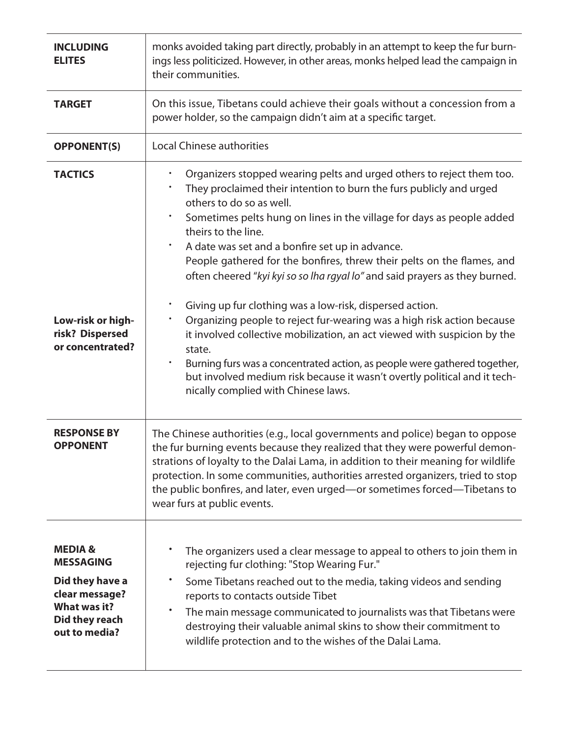| <b>INCLUDING</b><br><b>ELITES</b>                                                                                             | monks avoided taking part directly, probably in an attempt to keep the fur burn-<br>ings less politicized. However, in other areas, monks helped lead the campaign in<br>their communities.                                                                                                                                                                                                                                                                                               |
|-------------------------------------------------------------------------------------------------------------------------------|-------------------------------------------------------------------------------------------------------------------------------------------------------------------------------------------------------------------------------------------------------------------------------------------------------------------------------------------------------------------------------------------------------------------------------------------------------------------------------------------|
| <b>TARGET</b>                                                                                                                 | On this issue, Tibetans could achieve their goals without a concession from a<br>power holder, so the campaign didn't aim at a specific target.                                                                                                                                                                                                                                                                                                                                           |
| <b>OPPONENT(S)</b>                                                                                                            | <b>Local Chinese authorities</b>                                                                                                                                                                                                                                                                                                                                                                                                                                                          |
| <b>TACTICS</b>                                                                                                                | Organizers stopped wearing pelts and urged others to reject them too.<br>They proclaimed their intention to burn the furs publicly and urged<br>others to do so as well.<br>Sometimes pelts hung on lines in the village for days as people added<br>theirs to the line.<br>A date was set and a bonfire set up in advance.<br>٠<br>People gathered for the bonfires, threw their pelts on the flames, and<br>often cheered "kyi kyi so so lha rgyal lo" and said prayers as they burned. |
| Low-risk or high-<br>risk? Dispersed<br>or concentrated?                                                                      | Giving up fur clothing was a low-risk, dispersed action.<br>Organizing people to reject fur-wearing was a high risk action because<br>it involved collective mobilization, an act viewed with suspicion by the<br>state.<br>Burning furs was a concentrated action, as people were gathered together,<br>$\bullet$<br>but involved medium risk because it wasn't overtly political and it tech-<br>nically complied with Chinese laws.                                                    |
| <b>RESPONSE BY</b><br><b>OPPONENT</b>                                                                                         | The Chinese authorities (e.g., local governments and police) began to oppose<br>the fur burning events because they realized that they were powerful demon-<br>strations of loyalty to the Dalai Lama, in addition to their meaning for wildlife<br>protection. In some communities, authorities arrested organizers, tried to stop<br>the public bonfires, and later, even urged-or sometimes forced-Tibetans to<br>wear furs at public events.                                          |
| <b>MEDIA&amp;</b><br><b>MESSAGING</b><br>Did they have a<br>clear message?<br>What was it?<br>Did they reach<br>out to media? | The organizers used a clear message to appeal to others to join them in<br>rejecting fur clothing: "Stop Wearing Fur."<br>Some Tibetans reached out to the media, taking videos and sending<br>٠<br>reports to contacts outside Tibet<br>The main message communicated to journalists was that Tibetans were<br>destroying their valuable animal skins to show their commitment to<br>wildlife protection and to the wishes of the Dalai Lama.                                            |